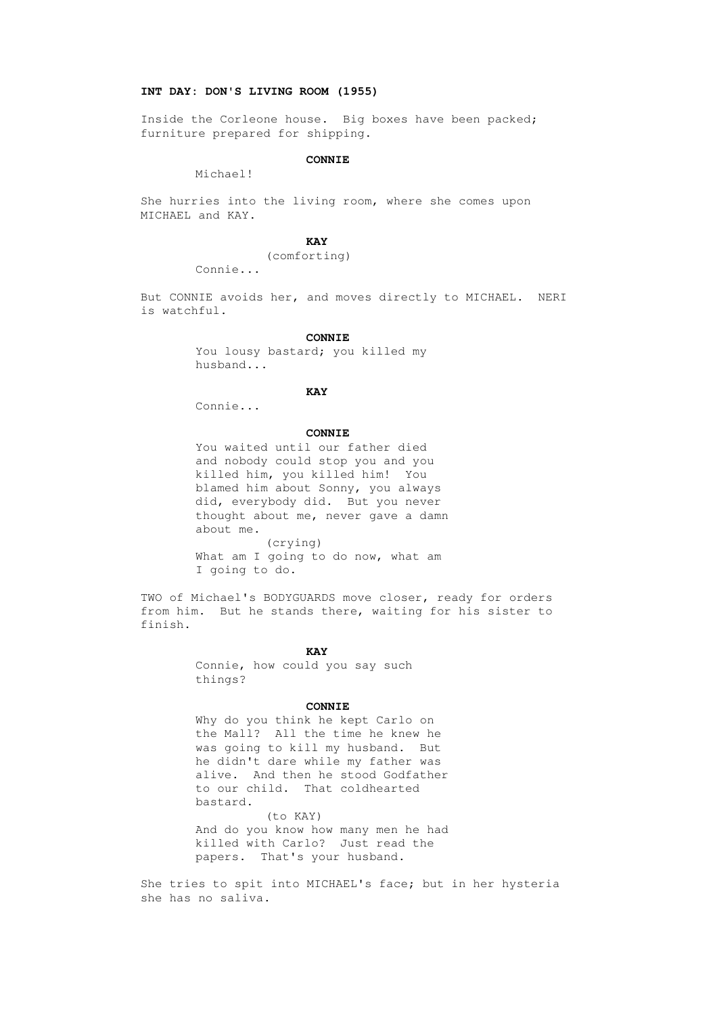### **INT DAY: DON'S LIVING ROOM (1955)**

 Inside the Corleone house. Big boxes have been packed; furniture prepared for shipping.

### **CONNIE**

Michael!

 She hurries into the living room, where she comes upon MICHAEL and KAY.

## **KAY**

(comforting)

Connie...

 But CONNIE avoids her, and moves directly to MICHAEL. NERI is watchful.

#### **CONNIE**

 You lousy bastard; you killed my husband...

## **KAY**

Connie...

### **CONNIE**

 You waited until our father died and nobody could stop you and you killed him, you killed him! You blamed him about Sonny, you always did, everybody did. But you never thought about me, never gave a damn about me. (crying)

 What am I going to do now, what am I going to do.

 TWO of Michael's BODYGUARDS move closer, ready for orders from him. But he stands there, waiting for his sister to finish.

### *KAY*

 Connie, how could you say such things?

# **CONNIE**

 Why do you think he kept Carlo on the Mall? All the time he knew he was going to kill my husband. But he didn't dare while my father was alive. And then he stood Godfather to our child. That coldhearted bastard.

 (to KAY) And do you know how many men he had killed with Carlo? Just read the papers. That's your husband.

 She tries to spit into MICHAEL's face; but in her hysteria she has no saliva.